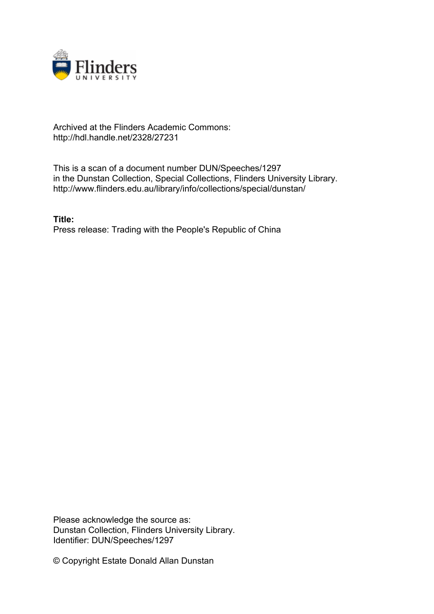

## Archived at the Flinders Academic Commons: http://hdl.handle.net/2328/27231

This is a scan of a document number DUN/Speeches/1297 in the Dunstan Collection, Special Collections, Flinders University Library. http://www.flinders.edu.au/library/info/collections/special/dunstan/

**Title:** Press release: Trading with the People's Republic of China

Please acknowledge the source as: Dunstan Collection, Flinders University Library. Identifier: DUN/Speeches/1297

© Copyright Estate Donald Allan Dunstan